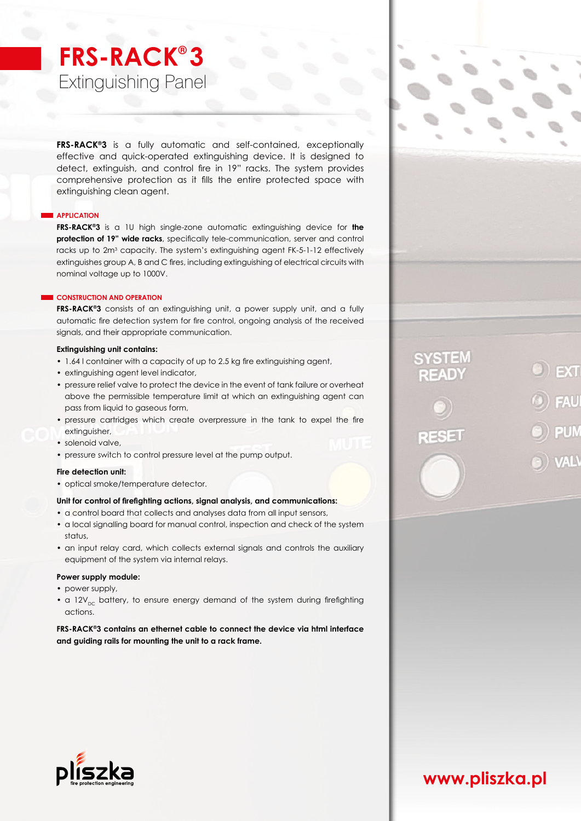# **FRS-RACK® 3** Extinguishing Panel

**FRS-RACK®3** is a fully automatic and self-contained, exceptionally effective and quick-operated extinguishing device. It is designed to detect, extinguish, and control fire in 19" racks. The system provides comprehensive protection as it fills the entire protected space with extinguishing clean agent.

# **APPLICATION**

**FRS-RACK®3** is a 1U high single-zone automatic extinguishing device for **the protection of 19" wide racks**, specifically tele-communication, server and control racks up to 2m<sup>3</sup> capacity. The system's extinguishing agent FK-5-1-12 effectively extinguishes group A, B and C fires, including extinguishing of electrical circuits with nominal voltage up to 1000V.

# **CONSTRUCTION AND OPERATION**

**FRS-RACK®3** consists of an extinguishing unit, a power supply unit, and a fully automatic fire detection system for fire control, ongoing analysis of the received signals, and their appropriate communication.

# **Extinguishing unit contains:**

- 1.64 l container with a capacity of up to 2.5 kg fire extinguishing agent,
- extinguishing agent level indicator,
- pressure relief valve to protect the device in the event of tank failure or overheat above the permissible temperature limit at which an extinguishing agent can pass from liquid to gaseous form,
- pressure cartridges which create overpressure in the tank to expel the fire extinguisher,
- solenoid valve,
- pressure switch to control pressure level at the pump output.

# **Fire detection unit:**

• optical smoke/temperature detector.

# **Unit for control of firefighting actions, signal analysis, and communications:**

- a control board that collects and analyses data from all input sensors,
- a local signalling board for manual control, inspection and check of the system status,
- an input relay card, which collects external signals and controls the auxiliary equipment of the system via internal relays.

# **Power supply module:**

- power supply,
- a 12 $V_{\text{nc}}$  battery, to ensure energy demand of the system during firefighting actions.

# **FRS-RACK®3 contains an ethernet cable to connect the device via html interface and guiding rails for mounting the unit to a rack frame.**



FAU

PUN



# **www.pliszka.pl**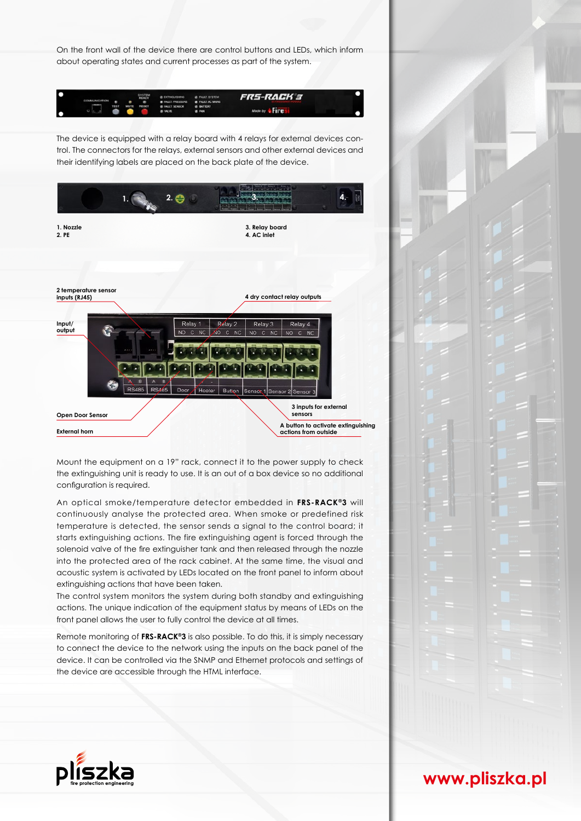On the front wall of the device there are control buttons and LEDs, which inform about operating states and current processes as part of the system.



The device is equipped with a relay board with 4 relays for external devices control. The connectors for the relays, external sensors and other external devices and their identifying labels are placed on the back plate of the device.



Mount the equipment on a 19" rack, connect it to the power supply to check the extinguishing unit is ready to use. It is an out of a box device so no additional configuration is required.

An optical smoke/temperature detector embedded in **FRS-RACK®3** will continuously analyse the protected area. When smoke or predefined risk temperature is detected, the sensor sends a signal to the control board; it starts extinguishing actions. The fire extinguishing agent is forced through the solenoid valve of the fire extinguisher tank and then released through the nozzle into the protected area of the rack cabinet. At the same time, the visual and acoustic system is activated by LEDs located on the front panel to inform about extinguishing actions that have been taken.

The control system monitors the system during both standby and extinguishing actions. The unique indication of the equipment status by means of LEDs on the front panel allows the user to fully control the device at all times.

Remote monitoring of **FRS-RACK®3** is also possible. To do this, it is simply necessary to connect the device to the network using the inputs on the back panel of the device. It can be controlled via the SNMP and Ethernet protocols and settings of the device are accessible through the HTML interface.





**www.pliszka.pl**